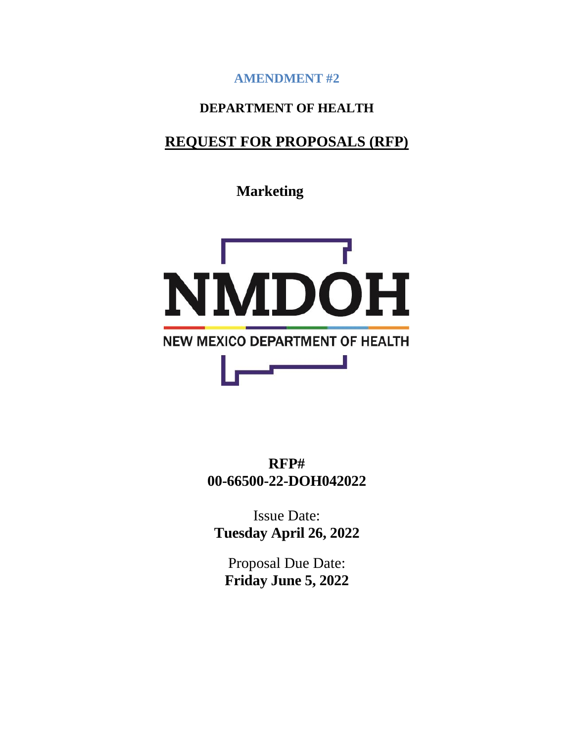**AMENDMENT #2**

# **DEPARTMENT OF HEALTH**

# **REQUEST FOR PROPOSALS (RFP)**

**Marketing**



**RFP# 00-66500-22-DOH042022**

Issue Date: **Tuesday April 26, 2022**

Proposal Due Date: **Friday June 5, 2022**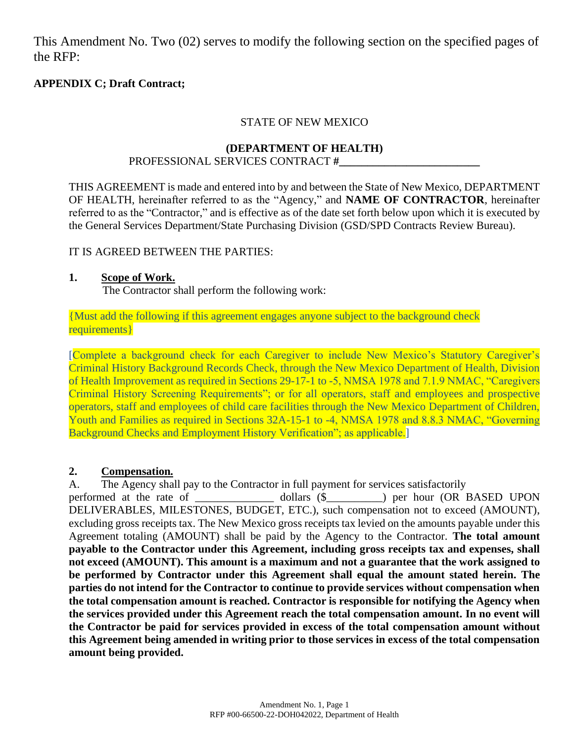This Amendment No. Two (02) serves to modify the following section on the specified pages of the RFP:

# **APPENDIX C; Draft Contract;**

### STATE OF NEW MEXICO

#### **(DEPARTMENT OF HEALTH)**

#### PROFESSIONAL SERVICES CONTRACT **#\_\_\_\_\_\_\_\_\_\_\_\_\_\_\_\_\_\_\_\_\_\_\_\_\_**

THIS AGREEMENT is made and entered into by and between the State of New Mexico, DEPARTMENT OF HEALTH, hereinafter referred to as the "Agency," and **NAME OF CONTRACTOR**, hereinafter referred to as the "Contractor," and is effective as of the date set forth below upon which it is executed by the General Services Department/State Purchasing Division (GSD/SPD Contracts Review Bureau).

### IT IS AGREED BETWEEN THE PARTIES:

### **1. Scope of Work.**

The Contractor shall perform the following work:

{Must add the following if this agreement engages anyone subject to the background check requirements}

[Complete a background check for each Caregiver to include New Mexico's Statutory Caregiver's Criminal History Background Records Check, through the New Mexico Department of Health, Division of Health Improvement as required in Sections 29-17-1 to -5, NMSA 1978 and 7.1.9 NMAC, "Caregivers Criminal History Screening Requirements"; or for all operators, staff and employees and prospective operators, staff and employees of child care facilities through the New Mexico Department of Children, Youth and Families as required in Sections 32A-15-1 to -4, NMSA 1978 and 8.8.3 NMAC, "Governing Background Checks and Employment History Verification"; as applicable.

### **2. Compensation***.*

A. The Agency shall pay to the Contractor in full payment for services satisfactorily performed at the rate of dollars (\$  $\qquad$  ) per hour (OR BASED UPON DELIVERABLES, MILESTONES, BUDGET, ETC.), such compensation not to exceed (AMOUNT), excluding gross receipts tax. The New Mexico gross receipts tax levied on the amounts payable under this Agreement totaling (AMOUNT) shall be paid by the Agency to the Contractor. **The total amount payable to the Contractor under this Agreement, including gross receipts tax and expenses, shall not exceed (AMOUNT). This amount is a maximum and not a guarantee that the work assigned to be performed by Contractor under this Agreement shall equal the amount stated herein. The parties do not intend for the Contractor to continue to provide services without compensation when the total compensation amount is reached. Contractor is responsible for notifying the Agency when the services provided under this Agreement reach the total compensation amount. In no event will the Contractor be paid for services provided in excess of the total compensation amount without this Agreement being amended in writing prior to those services in excess of the total compensation amount being provided.**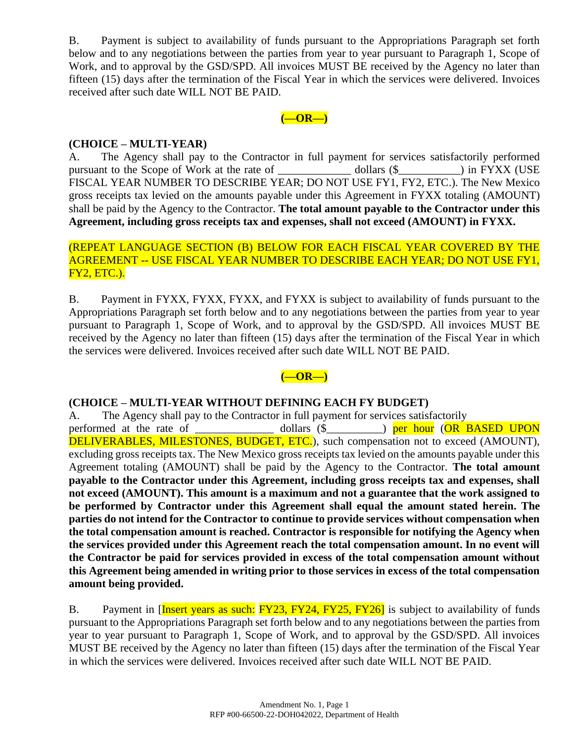B. Payment is subject to availability of funds pursuant to the Appropriations Paragraph set forth below and to any negotiations between the parties from year to year pursuant to Paragraph 1, Scope of Work, and to approval by the GSD/SPD. All invoices MUST BE received by the Agency no later than fifteen (15) days after the termination of the Fiscal Year in which the services were delivered. Invoices received after such date WILL NOT BE PAID.

### **(—OR—)**

### **(CHOICE – MULTI-YEAR)**

A. The Agency shall pay to the Contractor in full payment for services satisfactorily performed pursuant to the Scope of Work at the rate of dollars (\$  $\qquad$  ) in FYXX (USE FISCAL YEAR NUMBER TO DESCRIBE YEAR; DO NOT USE FY1, FY2, ETC.). The New Mexico gross receipts tax levied on the amounts payable under this Agreement in FYXX totaling (AMOUNT) shall be paid by the Agency to the Contractor. **The total amount payable to the Contractor under this Agreement, including gross receipts tax and expenses, shall not exceed (AMOUNT) in FYXX.**

### (REPEAT LANGUAGE SECTION (B) BELOW FOR EACH FISCAL YEAR COVERED BY THE AGREEMENT -- USE FISCAL YEAR NUMBER TO DESCRIBE EACH YEAR; DO NOT USE FY1, FY2, ETC.).

B. Payment in FYXX, FYXX, FYXX, and FYXX is subject to availability of funds pursuant to the Appropriations Paragraph set forth below and to any negotiations between the parties from year to year pursuant to Paragraph 1, Scope of Work, and to approval by the GSD/SPD. All invoices MUST BE received by the Agency no later than fifteen (15) days after the termination of the Fiscal Year in which the services were delivered. Invoices received after such date WILL NOT BE PAID.

# **(—OR—)**

### **(CHOICE – MULTI-YEAR WITHOUT DEFINING EACH FY BUDGET)**

A.The Agency shall pay to the Contractor in full payment for services satisfactorily performed at the rate of dollars (\$  $\qquad$  ) per hour (OR BASED UPON DELIVERABLES, MILESTONES, BUDGET, ETC.), such compensation not to exceed (AMOUNT), excluding gross receipts tax. The New Mexico gross receipts tax levied on the amounts payable under this Agreement totaling (AMOUNT) shall be paid by the Agency to the Contractor. **The total amount payable to the Contractor under this Agreement, including gross receipts tax and expenses, shall not exceed (AMOUNT). This amount is a maximum and not a guarantee that the work assigned to be performed by Contractor under this Agreement shall equal the amount stated herein. The parties do not intend for the Contractor to continue to provide services without compensation when the total compensation amount is reached. Contractor is responsible for notifying the Agency when the services provided under this Agreement reach the total compensation amount. In no event will the Contractor be paid for services provided in excess of the total compensation amount without this Agreement being amended in writing prior to those services in excess of the total compensation amount being provided.**

B. Payment in [Insert years as such: FY23, FY24, FY25, FY26] is subject to availability of funds pursuant to the Appropriations Paragraph set forth below and to any negotiations between the parties from year to year pursuant to Paragraph 1, Scope of Work, and to approval by the GSD/SPD. All invoices MUST BE received by the Agency no later than fifteen (15) days after the termination of the Fiscal Year in which the services were delivered. Invoices received after such date WILL NOT BE PAID.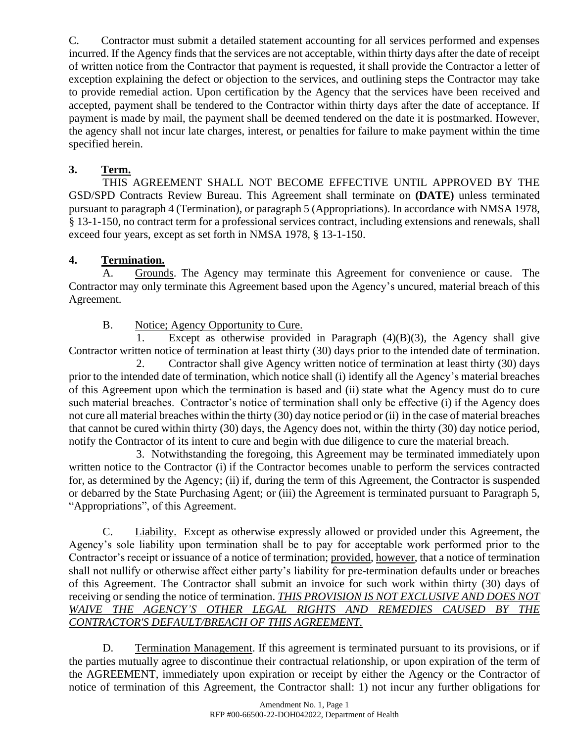C. Contractor must submit a detailed statement accounting for all services performed and expenses incurred. If the Agency finds that the services are not acceptable, within thirty days after the date of receipt of written notice from the Contractor that payment is requested, it shall provide the Contractor a letter of exception explaining the defect or objection to the services, and outlining steps the Contractor may take to provide remedial action. Upon certification by the Agency that the services have been received and accepted, payment shall be tendered to the Contractor within thirty days after the date of acceptance. If payment is made by mail, the payment shall be deemed tendered on the date it is postmarked. However, the agency shall not incur late charges, interest, or penalties for failure to make payment within the time specified herein.

# **3. Term.**

THIS AGREEMENT SHALL NOT BECOME EFFECTIVE UNTIL APPROVED BY THE GSD/SPD Contracts Review Bureau. This Agreement shall terminate on **(DATE)** unless terminated pursuant to paragraph 4 (Termination), or paragraph 5 (Appropriations). In accordance with NMSA 1978, § 13-1-150, no contract term for a professional services contract, including extensions and renewals, shall exceed four years, except as set forth in NMSA 1978, § 13-1-150.

# **4. Termination.**

A. Grounds. The Agency may terminate this Agreement for convenience or cause. The Contractor may only terminate this Agreement based upon the Agency's uncured, material breach of this Agreement.

B. Notice; Agency Opportunity to Cure.

1. Except as otherwise provided in Paragraph (4)(B)(3), the Agency shall give Contractor written notice of termination at least thirty (30) days prior to the intended date of termination.

2. Contractor shall give Agency written notice of termination at least thirty (30) days prior to the intended date of termination, which notice shall (i) identify all the Agency's material breaches of this Agreement upon which the termination is based and (ii) state what the Agency must do to cure such material breaches. Contractor's notice of termination shall only be effective (i) if the Agency does not cure all material breaches within the thirty (30) day notice period or (ii) in the case of material breaches that cannot be cured within thirty (30) days, the Agency does not, within the thirty (30) day notice period, notify the Contractor of its intent to cure and begin with due diligence to cure the material breach.

3. Notwithstanding the foregoing, this Agreement may be terminated immediately upon written notice to the Contractor (i) if the Contractor becomes unable to perform the services contracted for, as determined by the Agency; (ii) if, during the term of this Agreement, the Contractor is suspended or debarred by the State Purchasing Agent; or (iii) the Agreement is terminated pursuant to Paragraph 5, "Appropriations", of this Agreement.

C. Liability. Except as otherwise expressly allowed or provided under this Agreement, the Agency's sole liability upon termination shall be to pay for acceptable work performed prior to the Contractor's receipt or issuance of a notice of termination; provided, however, that a notice of termination shall not nullify or otherwise affect either party's liability for pre-termination defaults under or breaches of this Agreement. The Contractor shall submit an invoice for such work within thirty (30) days of receiving or sending the notice of termination. *THIS PROVISION IS NOT EXCLUSIVE AND DOES NOT WAIVE THE AGENCY'S OTHER LEGAL RIGHTS AND REMEDIES CAUSED BY THE CONTRACTOR'S DEFAULT/BREACH OF THIS AGREEMENT.*

D. Termination Management. If this agreement is terminated pursuant to its provisions, or if the parties mutually agree to discontinue their contractual relationship, or upon expiration of the term of the AGREEMENT, immediately upon expiration or receipt by either the Agency or the Contractor of notice of termination of this Agreement, the Contractor shall: 1) not incur any further obligations for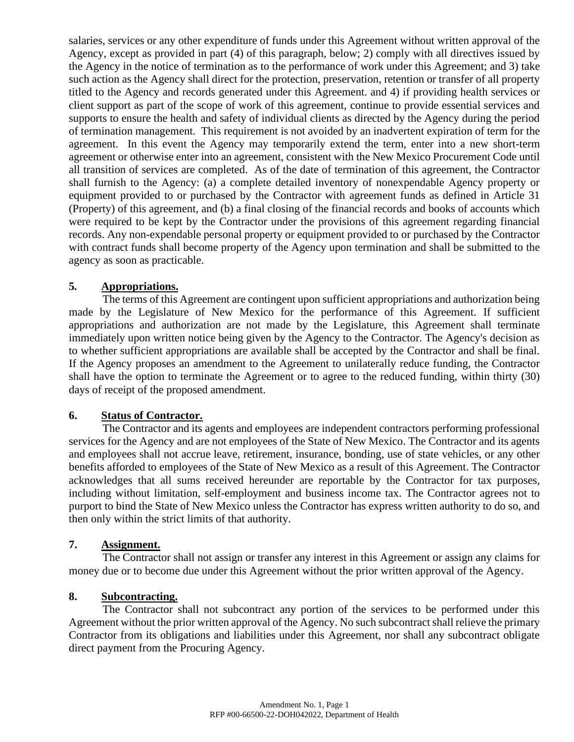salaries, services or any other expenditure of funds under this Agreement without written approval of the Agency, except as provided in part (4) of this paragraph, below; 2) comply with all directives issued by the Agency in the notice of termination as to the performance of work under this Agreement; and 3) take such action as the Agency shall direct for the protection, preservation, retention or transfer of all property titled to the Agency and records generated under this Agreement. and 4) if providing health services or client support as part of the scope of work of this agreement, continue to provide essential services and supports to ensure the health and safety of individual clients as directed by the Agency during the period of termination management. This requirement is not avoided by an inadvertent expiration of term for the agreement. In this event the Agency may temporarily extend the term, enter into a new short-term agreement or otherwise enter into an agreement, consistent with the New Mexico Procurement Code until all transition of services are completed. As of the date of termination of this agreement, the Contractor shall furnish to the Agency: (a) a complete detailed inventory of nonexpendable Agency property or equipment provided to or purchased by the Contractor with agreement funds as defined in Article 31 (Property) of this agreement, and (b) a final closing of the financial records and books of accounts which were required to be kept by the Contractor under the provisions of this agreement regarding financial records. Any non-expendable personal property or equipment provided to or purchased by the Contractor with contract funds shall become property of the Agency upon termination and shall be submitted to the agency as soon as practicable.

### **5***.* **Appropriations.**

The terms of this Agreement are contingent upon sufficient appropriations and authorization being made by the Legislature of New Mexico for the performance of this Agreement. If sufficient appropriations and authorization are not made by the Legislature, this Agreement shall terminate immediately upon written notice being given by the Agency to the Contractor. The Agency's decision as to whether sufficient appropriations are available shall be accepted by the Contractor and shall be final. If the Agency proposes an amendment to the Agreement to unilaterally reduce funding, the Contractor shall have the option to terminate the Agreement or to agree to the reduced funding, within thirty (30) days of receipt of the proposed amendment.

### **6. Status of Contractor.**

The Contractor and its agents and employees are independent contractors performing professional services for the Agency and are not employees of the State of New Mexico. The Contractor and its agents and employees shall not accrue leave, retirement, insurance, bonding, use of state vehicles, or any other benefits afforded to employees of the State of New Mexico as a result of this Agreement. The Contractor acknowledges that all sums received hereunder are reportable by the Contractor for tax purposes, including without limitation, self-employment and business income tax. The Contractor agrees not to purport to bind the State of New Mexico unless the Contractor has express written authority to do so, and then only within the strict limits of that authority.

### **7. Assignment.**

The Contractor shall not assign or transfer any interest in this Agreement or assign any claims for money due or to become due under this Agreement without the prior written approval of the Agency.

### **8. Subcontracting.**

The Contractor shall not subcontract any portion of the services to be performed under this Agreement without the prior written approval of the Agency. No such subcontract shall relieve the primary Contractor from its obligations and liabilities under this Agreement, nor shall any subcontract obligate direct payment from the Procuring Agency.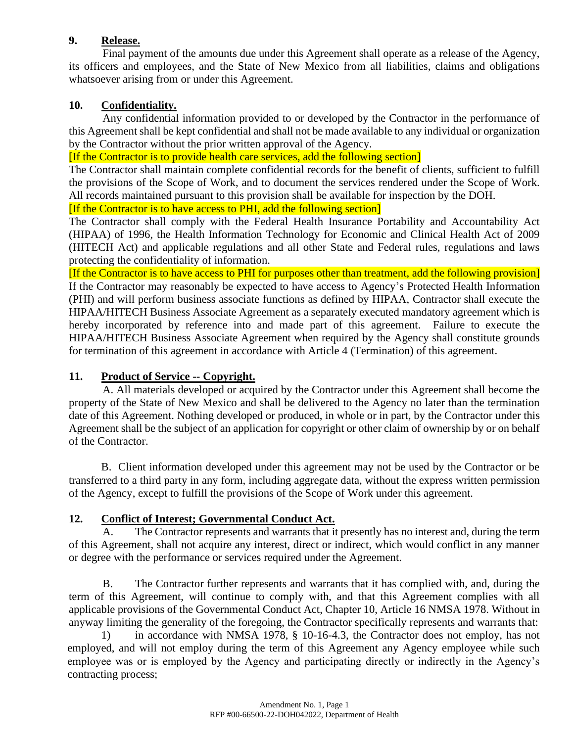# **9. Release.**

Final payment of the amounts due under this Agreement shall operate as a release of the Agency, its officers and employees, and the State of New Mexico from all liabilities, claims and obligations whatsoever arising from or under this Agreement.

# **10. Confidentiality.**

Any confidential information provided to or developed by the Contractor in the performance of this Agreement shall be kept confidential and shall not be made available to any individual or organization by the Contractor without the prior written approval of the Agency.

[If the Contractor is to provide health care services, add the following section]

The Contractor shall maintain complete confidential records for the benefit of clients, sufficient to fulfill the provisions of the Scope of Work, and to document the services rendered under the Scope of Work. All records maintained pursuant to this provision shall be available for inspection by the DOH.

[If the Contractor is to have access to PHI, add the following section]

The Contractor shall comply with the Federal Health Insurance Portability and Accountability Act (HIPAA) of 1996, the Health Information Technology for Economic and Clinical Health Act of 2009 (HITECH Act) and applicable regulations and all other State and Federal rules, regulations and laws protecting the confidentiality of information.

[If the Contractor is to have access to PHI for purposes other than treatment, add the following provision] If the Contractor may reasonably be expected to have access to Agency's Protected Health Information (PHI) and will perform business associate functions as defined by HIPAA, Contractor shall execute the HIPAA/HITECH Business Associate Agreement as a separately executed mandatory agreement which is hereby incorporated by reference into and made part of this agreement. Failure to execute the HIPAA/HITECH Business Associate Agreement when required by the Agency shall constitute grounds for termination of this agreement in accordance with Article 4 (Termination) of this agreement.

### **11. Product of Service -- Copyright.**

A. All materials developed or acquired by the Contractor under this Agreement shall become the property of the State of New Mexico and shall be delivered to the Agency no later than the termination date of this Agreement. Nothing developed or produced, in whole or in part, by the Contractor under this Agreement shall be the subject of an application for copyright or other claim of ownership by or on behalf of the Contractor.

B. Client information developed under this agreement may not be used by the Contractor or be transferred to a third party in any form, including aggregate data, without the express written permission of the Agency, except to fulfill the provisions of the Scope of Work under this agreement.

### **12. Conflict of Interest; Governmental Conduct Act.**

A. The Contractor represents and warrants that it presently has no interest and, during the term of this Agreement, shall not acquire any interest, direct or indirect, which would conflict in any manner or degree with the performance or services required under the Agreement.

B. The Contractor further represents and warrants that it has complied with, and, during the term of this Agreement, will continue to comply with, and that this Agreement complies with all applicable provisions of the Governmental Conduct Act, Chapter 10, Article 16 NMSA 1978. Without in anyway limiting the generality of the foregoing, the Contractor specifically represents and warrants that:

1) in accordance with NMSA 1978, § 10-16-4.3, the Contractor does not employ, has not employed, and will not employ during the term of this Agreement any Agency employee while such employee was or is employed by the Agency and participating directly or indirectly in the Agency's contracting process;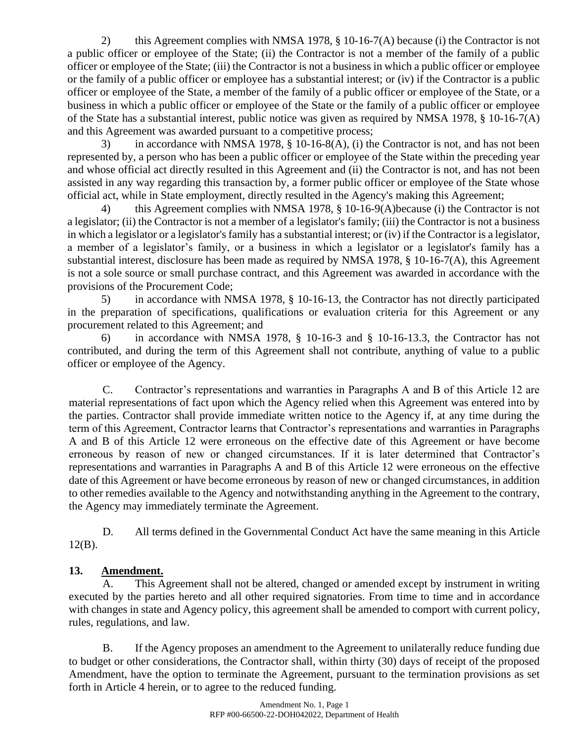2) this Agreement complies with NMSA 1978, § 10-16-7(A) because (i) the Contractor is not a public officer or employee of the State; (ii) the Contractor is not a member of the family of a public officer or employee of the State; (iii) the Contractor is not a business in which a public officer or employee or the family of a public officer or employee has a substantial interest; or (iv) if the Contractor is a public officer or employee of the State, a member of the family of a public officer or employee of the State, or a business in which a public officer or employee of the State or the family of a public officer or employee of the State has a substantial interest, public notice was given as required by NMSA 1978, § 10-16-7(A) and this Agreement was awarded pursuant to a competitive process;

3) in accordance with NMSA 1978, § 10-16-8(A), (i) the Contractor is not, and has not been represented by, a person who has been a public officer or employee of the State within the preceding year and whose official act directly resulted in this Agreement and (ii) the Contractor is not, and has not been assisted in any way regarding this transaction by, a former public officer or employee of the State whose official act, while in State employment, directly resulted in the Agency's making this Agreement;

4) this Agreement complies with NMSA 1978, § 10-16-9(A)because (i) the Contractor is not a legislator; (ii) the Contractor is not a member of a legislator's family; (iii) the Contractor is not a business in which a legislator or a legislator's family has a substantial interest; or (iv) if the Contractor is a legislator, a member of a legislator's family, or a business in which a legislator or a legislator's family has a substantial interest, disclosure has been made as required by NMSA 1978, § 10-16-7(A), this Agreement is not a sole source or small purchase contract, and this Agreement was awarded in accordance with the provisions of the Procurement Code;

5) in accordance with NMSA 1978, § 10-16-13, the Contractor has not directly participated in the preparation of specifications, qualifications or evaluation criteria for this Agreement or any procurement related to this Agreement; and

6) in accordance with NMSA 1978, § 10-16-3 and § 10-16-13.3, the Contractor has not contributed, and during the term of this Agreement shall not contribute, anything of value to a public officer or employee of the Agency.

C. Contractor's representations and warranties in Paragraphs A and B of this Article 12 are material representations of fact upon which the Agency relied when this Agreement was entered into by the parties. Contractor shall provide immediate written notice to the Agency if, at any time during the term of this Agreement, Contractor learns that Contractor's representations and warranties in Paragraphs A and B of this Article 12 were erroneous on the effective date of this Agreement or have become erroneous by reason of new or changed circumstances. If it is later determined that Contractor's representations and warranties in Paragraphs A and B of this Article 12 were erroneous on the effective date of this Agreement or have become erroneous by reason of new or changed circumstances, in addition to other remedies available to the Agency and notwithstanding anything in the Agreement to the contrary, the Agency may immediately terminate the Agreement.

D. All terms defined in the Governmental Conduct Act have the same meaning in this Article 12(B).

# **13. Amendment.**

A. This Agreement shall not be altered, changed or amended except by instrument in writing executed by the parties hereto and all other required signatories. From time to time and in accordance with changes in state and Agency policy, this agreement shall be amended to comport with current policy, rules, regulations, and law.

B. If the Agency proposes an amendment to the Agreement to unilaterally reduce funding due to budget or other considerations, the Contractor shall, within thirty (30) days of receipt of the proposed Amendment, have the option to terminate the Agreement, pursuant to the termination provisions as set forth in Article 4 herein, or to agree to the reduced funding.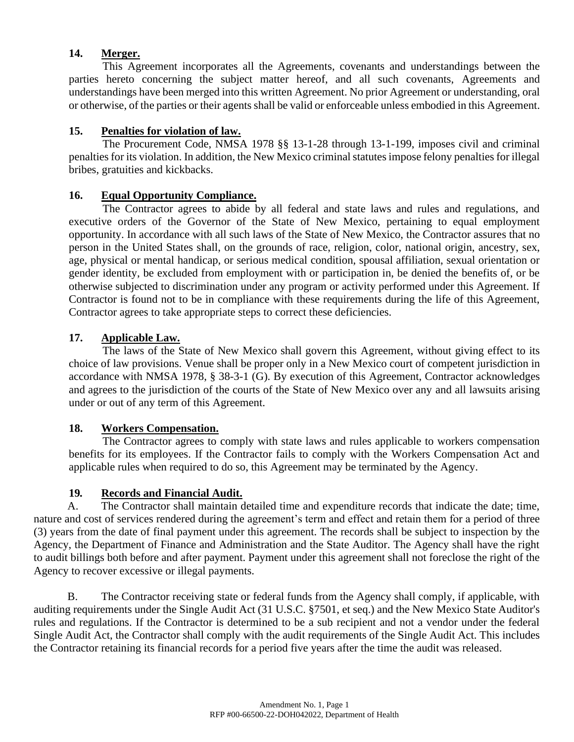### **14. Merger.**

This Agreement incorporates all the Agreements, covenants and understandings between the parties hereto concerning the subject matter hereof, and all such covenants, Agreements and understandings have been merged into this written Agreement. No prior Agreement or understanding, oral or otherwise, of the parties or their agents shall be valid or enforceable unless embodied in this Agreement.

### **15. Penalties for violation of law.**

The Procurement Code, NMSA 1978 §§ 13-1-28 through 13-1-199, imposes civil and criminal penalties for its violation. In addition, the New Mexico criminal statutes impose felony penalties for illegal bribes, gratuities and kickbacks.

# **16. Equal Opportunity Compliance.**

The Contractor agrees to abide by all federal and state laws and rules and regulations, and executive orders of the Governor of the State of New Mexico, pertaining to equal employment opportunity. In accordance with all such laws of the State of New Mexico, the Contractor assures that no person in the United States shall, on the grounds of race, religion, color, national origin, ancestry, sex, age, physical or mental handicap, or serious medical condition, spousal affiliation, sexual orientation or gender identity, be excluded from employment with or participation in, be denied the benefits of, or be otherwise subjected to discrimination under any program or activity performed under this Agreement. If Contractor is found not to be in compliance with these requirements during the life of this Agreement, Contractor agrees to take appropriate steps to correct these deficiencies.

# **17. Applicable Law.**

The laws of the State of New Mexico shall govern this Agreement, without giving effect to its choice of law provisions. Venue shall be proper only in a New Mexico court of competent jurisdiction in accordance with NMSA 1978, § 38-3-1 (G). By execution of this Agreement, Contractor acknowledges and agrees to the jurisdiction of the courts of the State of New Mexico over any and all lawsuits arising under or out of any term of this Agreement.

### **18. Workers Compensation.**

The Contractor agrees to comply with state laws and rules applicable to workers compensation benefits for its employees. If the Contractor fails to comply with the Workers Compensation Act and applicable rules when required to do so, this Agreement may be terminated by the Agency.

### **19***.* **Records and Financial Audit.**

A. The Contractor shall maintain detailed time and expenditure records that indicate the date; time, nature and cost of services rendered during the agreement's term and effect and retain them for a period of three (3) years from the date of final payment under this agreement. The records shall be subject to inspection by the Agency, the Department of Finance and Administration and the State Auditor. The Agency shall have the right to audit billings both before and after payment. Payment under this agreement shall not foreclose the right of the Agency to recover excessive or illegal payments.

B. The Contractor receiving state or federal funds from the Agency shall comply, if applicable, with auditing requirements under the Single Audit Act (31 U.S.C. §7501, et seq.) and the New Mexico State Auditor's rules and regulations. If the Contractor is determined to be a sub recipient and not a vendor under the federal Single Audit Act, the Contractor shall comply with the audit requirements of the Single Audit Act. This includes the Contractor retaining its financial records for a period five years after the time the audit was released.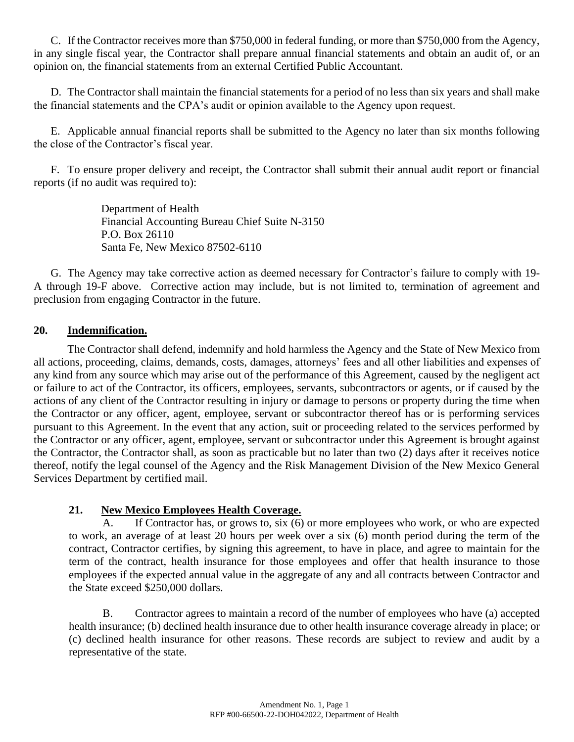C. If the Contractor receives more than \$750,000 in federal funding, or more than \$750,000 from the Agency, in any single fiscal year, the Contractor shall prepare annual financial statements and obtain an audit of, or an opinion on, the financial statements from an external Certified Public Accountant.

D. The Contractor shall maintain the financial statements for a period of no less than six years and shall make the financial statements and the CPA's audit or opinion available to the Agency upon request.

E. Applicable annual financial reports shall be submitted to the Agency no later than six months following the close of the Contractor's fiscal year.

F. To ensure proper delivery and receipt, the Contractor shall submit their annual audit report or financial reports (if no audit was required to):

> Department of Health Financial Accounting Bureau Chief Suite N-3150 P.O. Box 26110 Santa Fe, New Mexico 87502-6110

G. The Agency may take corrective action as deemed necessary for Contractor's failure to comply with 19- A through 19-F above. Corrective action may include, but is not limited to, termination of agreement and preclusion from engaging Contractor in the future.

### **20. Indemnification.**

The Contractor shall defend, indemnify and hold harmless the Agency and the State of New Mexico from all actions, proceeding, claims, demands, costs, damages, attorneys' fees and all other liabilities and expenses of any kind from any source which may arise out of the performance of this Agreement, caused by the negligent act or failure to act of the Contractor, its officers, employees, servants, subcontractors or agents, or if caused by the actions of any client of the Contractor resulting in injury or damage to persons or property during the time when the Contractor or any officer, agent, employee, servant or subcontractor thereof has or is performing services pursuant to this Agreement. In the event that any action, suit or proceeding related to the services performed by the Contractor or any officer, agent, employee, servant or subcontractor under this Agreement is brought against the Contractor, the Contractor shall, as soon as practicable but no later than two (2) days after it receives notice thereof, notify the legal counsel of the Agency and the Risk Management Division of the New Mexico General Services Department by certified mail.

### **21. New Mexico Employees Health Coverage.**

A. If Contractor has, or grows to, six (6) or more employees who work, or who are expected to work, an average of at least 20 hours per week over a six (6) month period during the term of the contract, Contractor certifies, by signing this agreement, to have in place, and agree to maintain for the term of the contract, health insurance for those employees and offer that health insurance to those employees if the expected annual value in the aggregate of any and all contracts between Contractor and the State exceed \$250,000 dollars.

B. Contractor agrees to maintain a record of the number of employees who have (a) accepted health insurance; (b) declined health insurance due to other health insurance coverage already in place; or (c) declined health insurance for other reasons. These records are subject to review and audit by a representative of the state.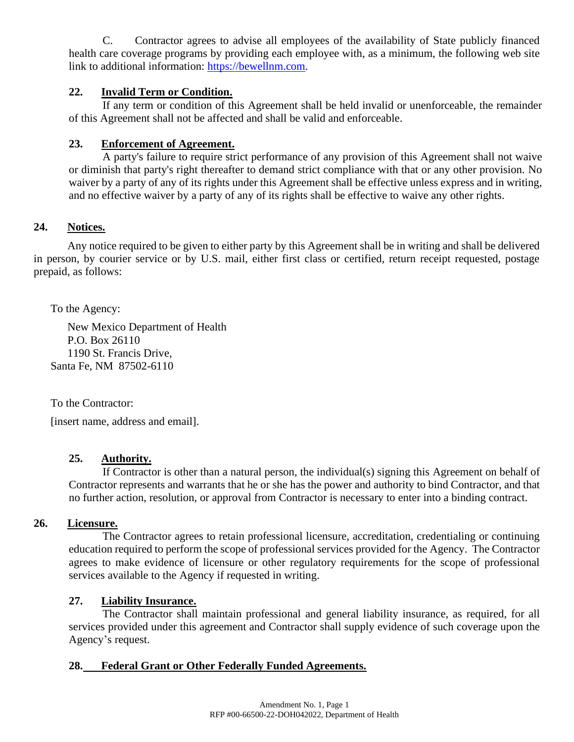C. Contractor agrees to advise all employees of the availability of State publicly financed health care coverage programs by providing each employee with, as a minimum, the following web site link to additional information: [https://bewellnm.com.](https://bewellnm.com/)

### **22. Invalid Term or Condition.**

If any term or condition of this Agreement shall be held invalid or unenforceable, the remainder of this Agreement shall not be affected and shall be valid and enforceable.

### **23. Enforcement of Agreement.**

A party's failure to require strict performance of any provision of this Agreement shall not waive or diminish that party's right thereafter to demand strict compliance with that or any other provision. No waiver by a party of any of its rights under this Agreement shall be effective unless express and in writing, and no effective waiver by a party of any of its rights shall be effective to waive any other rights.

### **24. Notices.**

Any notice required to be given to either party by this Agreement shall be in writing and shall be delivered in person, by courier service or by U.S. mail, either first class or certified, return receipt requested, postage prepaid, as follows:

To the Agency:

New Mexico Department of Health P.O. Box 26110 1190 St. Francis Drive, Santa Fe, NM 87502-6110

To the Contractor:

[insert name, address and email].

### **25. Authority.**

If Contractor is other than a natural person, the individual(s) signing this Agreement on behalf of Contractor represents and warrants that he or she has the power and authority to bind Contractor, and that no further action, resolution, or approval from Contractor is necessary to enter into a binding contract.

### **26. Licensure.**

The Contractor agrees to retain professional licensure, accreditation, credentialing or continuing education required to perform the scope of professional services provided for the Agency. The Contractor agrees to make evidence of licensure or other regulatory requirements for the scope of professional services available to the Agency if requested in writing.

### **27. Liability Insurance.**

The Contractor shall maintain professional and general liability insurance, as required, for all services provided under this agreement and Contractor shall supply evidence of such coverage upon the Agency's request.

### **28. Federal Grant or Other Federally Funded Agreements.**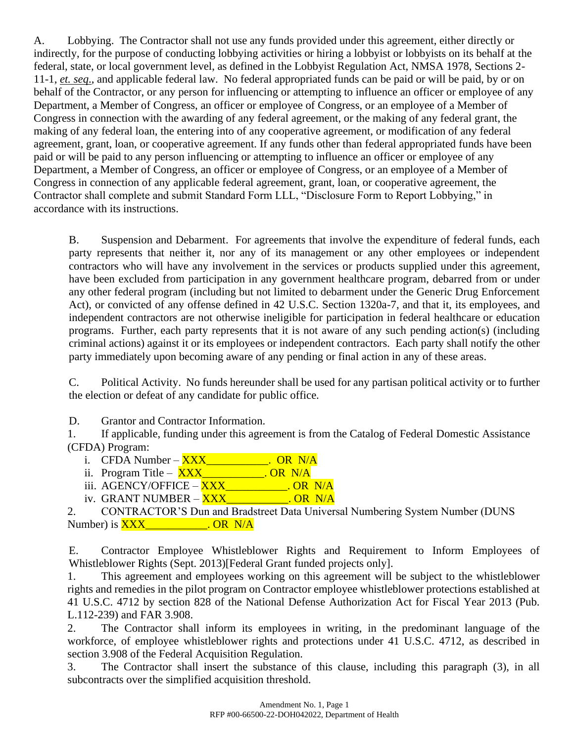A. Lobbying. The Contractor shall not use any funds provided under this agreement, either directly or indirectly, for the purpose of conducting lobbying activities or hiring a lobbyist or lobbyists on its behalf at the federal, state, or local government level, as defined in the Lobbyist Regulation Act, NMSA 1978, Sections 2- 11-1, *et. seq*., and applicable federal law. No federal appropriated funds can be paid or will be paid, by or on behalf of the Contractor, or any person for influencing or attempting to influence an officer or employee of any Department, a Member of Congress, an officer or employee of Congress, or an employee of a Member of Congress in connection with the awarding of any federal agreement, or the making of any federal grant, the making of any federal loan, the entering into of any cooperative agreement, or modification of any federal agreement, grant, loan, or cooperative agreement. If any funds other than federal appropriated funds have been paid or will be paid to any person influencing or attempting to influence an officer or employee of any Department, a Member of Congress, an officer or employee of Congress, or an employee of a Member of Congress in connection of any applicable federal agreement, grant, loan, or cooperative agreement, the Contractor shall complete and submit Standard Form LLL, "Disclosure Form to Report Lobbying," in accordance with its instructions.

B. Suspension and Debarment. For agreements that involve the expenditure of federal funds, each party represents that neither it, nor any of its management or any other employees or independent contractors who will have any involvement in the services or products supplied under this agreement, have been excluded from participation in any government healthcare program, debarred from or under any other federal program (including but not limited to debarment under the Generic Drug Enforcement Act), or convicted of any offense defined in 42 U.S.C. Section 1320a-7, and that it, its employees, and independent contractors are not otherwise ineligible for participation in federal healthcare or education programs. Further, each party represents that it is not aware of any such pending action(s) (including criminal actions) against it or its employees or independent contractors. Each party shall notify the other party immediately upon becoming aware of any pending or final action in any of these areas.

C. Political Activity. No funds hereunder shall be used for any partisan political activity or to further the election or defeat of any candidate for public office.

D. Grantor and Contractor Information.

1. If applicable, funding under this agreement is from the Catalog of Federal Domestic Assistance (CFDA) Program:

- i. CFDA Number  $\overline{XXX}$  CR N/A
- ii. Program Title **XXX\_\_\_\_\_\_\_\_\_\_\_. OR** N/A
- iii.  $AGENCY/OFFICE  $\overline{XXX}$  QR N/A$
- iv. GRANT NUMBER XXX CORN/A

2. CONTRACTOR'S Dun and Bradstreet Data Universal Numbering System Number (DUNS Number) is **XXX** COR N/A

E. Contractor Employee Whistleblower Rights and Requirement to Inform Employees of Whistleblower Rights (Sept. 2013)[Federal Grant funded projects only].

1. This agreement and employees working on this agreement will be subject to the whistleblower rights and remedies in the pilot program on Contractor employee whistleblower protections established at 41 U.S.C. 4712 by section 828 of the National Defense Authorization Act for Fiscal Year 2013 (Pub. L.112-239) and FAR 3.908.

2. The Contractor shall inform its employees in writing, in the predominant language of the workforce, of employee whistleblower rights and protections under 41 U.S.C. 4712, as described in section 3.908 of the Federal Acquisition Regulation.

3. The Contractor shall insert the substance of this clause, including this paragraph (3), in all subcontracts over the simplified acquisition threshold.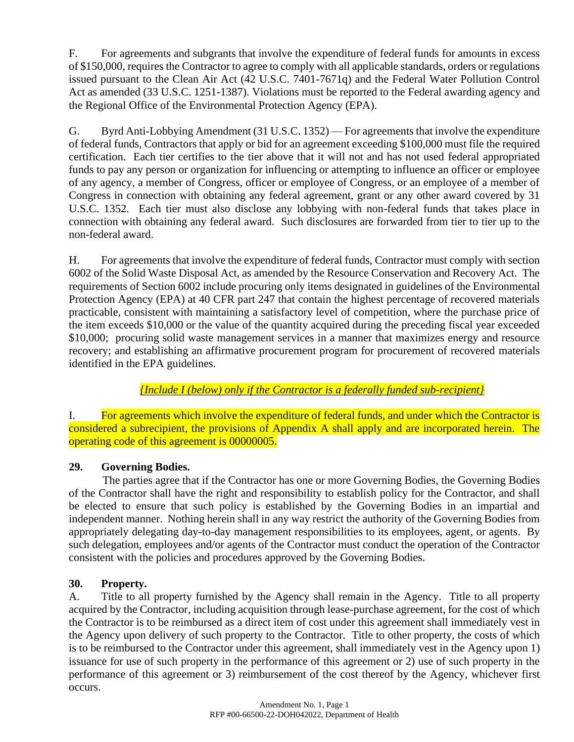F. For agreements and subgrants that involve the expenditure of federal funds for amounts in excess of \$150,000, requires the Contractor to agree to comply with all applicable standards, orders or regulations issued pursuant to the Clean Air Act (42 U.S.C. 7401-7671q) and the Federal Water Pollution Control Act as amended (33 U.S.C. 1251-1387). Violations must be reported to the Federal awarding agency and the Regional Office of the Environmental Protection Agency (EPA).

G. Byrd Anti-Lobbying Amendment (31 U.S.C. 1352) — For agreements that involve the expenditure of federal funds, Contractors that apply or bid for an agreement exceeding \$100,000 must file the required certification. Each tier certifies to the tier above that it will not and has not used federal appropriated funds to pay any person or organization for influencing or attempting to influence an officer or employee of any agency, a member of Congress, officer or employee of Congress, or an employee of a member of Congress in connection with obtaining any federal agreement, grant or any other award covered by 31 U.S.C. 1352. Each tier must also disclose any lobbying with non-federal funds that takes place in connection with obtaining any federal award. Such disclosures are forwarded from tier to tier up to the non-federal award.

H. For agreements that involve the expenditure of federal funds, Contractor must comply with section 6002 of the Solid Waste Disposal Act, as amended by the Resource Conservation and Recovery Act. The requirements of Section 6002 include procuring only items designated in guidelines of the Environmental Protection Agency (EPA) at 40 CFR part 247 that contain the highest percentage of recovered materials practicable, consistent with maintaining a satisfactory level of competition, where the purchase price of the item exceeds \$10,000 or the value of the quantity acquired during the preceding fiscal year exceeded \$10,000; procuring solid waste management services in a manner that maximizes energy and resource recovery; and establishing an affirmative procurement program for procurement of recovered materials identified in the EPA guidelines.

*{Include I (below) only if the Contractor is a federally funded sub-recipient}*

I. For agreements which involve the expenditure of federal funds, and under which the Contractor is considered a subrecipient, the provisions of Appendix A shall apply and are incorporated herein. The operating code of this agreement is 00000005.

# **29. Governing Bodies.**

The parties agree that if the Contractor has one or more Governing Bodies, the Governing Bodies of the Contractor shall have the right and responsibility to establish policy for the Contractor, and shall be elected to ensure that such policy is established by the Governing Bodies in an impartial and independent manner. Nothing herein shall in any way restrict the authority of the Governing Bodies from appropriately delegating day-to-day management responsibilities to its employees, agent, or agents. By such delegation, employees and/or agents of the Contractor must conduct the operation of the Contractor consistent with the policies and procedures approved by the Governing Bodies.

# **30. Property.**

A. Title to all property furnished by the Agency shall remain in the Agency. Title to all property acquired by the Contractor, including acquisition through lease-purchase agreement, for the cost of which the Contractor is to be reimbursed as a direct item of cost under this agreement shall immediately vest in the Agency upon delivery of such property to the Contractor. Title to other property, the costs of which is to be reimbursed to the Contractor under this agreement, shall immediately vest in the Agency upon 1) issuance for use of such property in the performance of this agreement or 2) use of such property in the performance of this agreement or 3) reimbursement of the cost thereof by the Agency, whichever first occurs.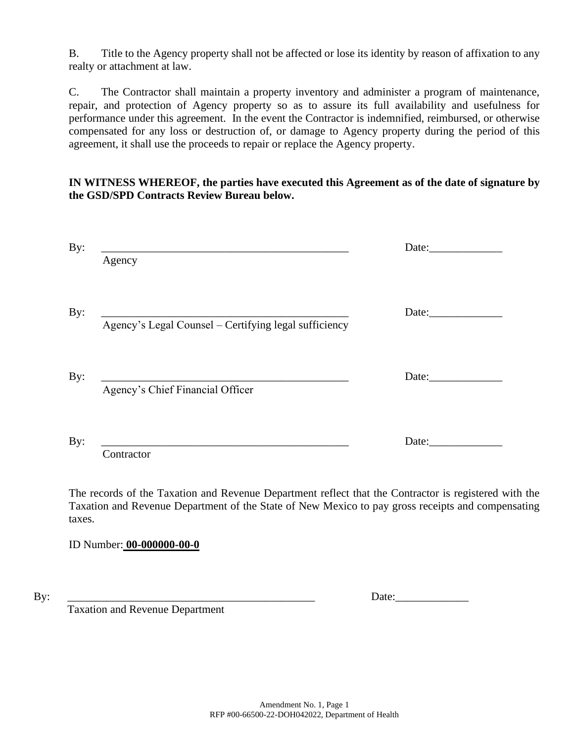B. Title to the Agency property shall not be affected or lose its identity by reason of affixation to any realty or attachment at law.

C. The Contractor shall maintain a property inventory and administer a program of maintenance, repair, and protection of Agency property so as to assure its full availability and usefulness for performance under this agreement. In the event the Contractor is indemnified, reimbursed, or otherwise compensated for any loss or destruction of, or damage to Agency property during the period of this agreement, it shall use the proceeds to repair or replace the Agency property.

### **IN WITNESS WHEREOF, the parties have executed this Agreement as of the date of signature by the GSD/SPD Contracts Review Bureau below.**

| Agency                                                | Date: |
|-------------------------------------------------------|-------|
| Agency's Legal Counsel - Certifying legal sufficiency | Date: |
| Agency's Chief Financial Officer                      | Date: |
| Contractor                                            | Date: |

The records of the Taxation and Revenue Department reflect that the Contractor is registered with the Taxation and Revenue Department of the State of New Mexico to pay gross receipts and compensating taxes.

ID Number: **00-000000-00-0**

By: \_\_\_\_\_\_\_\_\_\_\_\_\_\_\_\_\_\_\_\_\_\_\_\_\_\_\_\_\_\_\_\_\_\_\_\_\_\_\_\_\_\_\_\_ Date:\_\_\_\_\_\_\_\_\_\_\_\_\_

Taxation and Revenue Department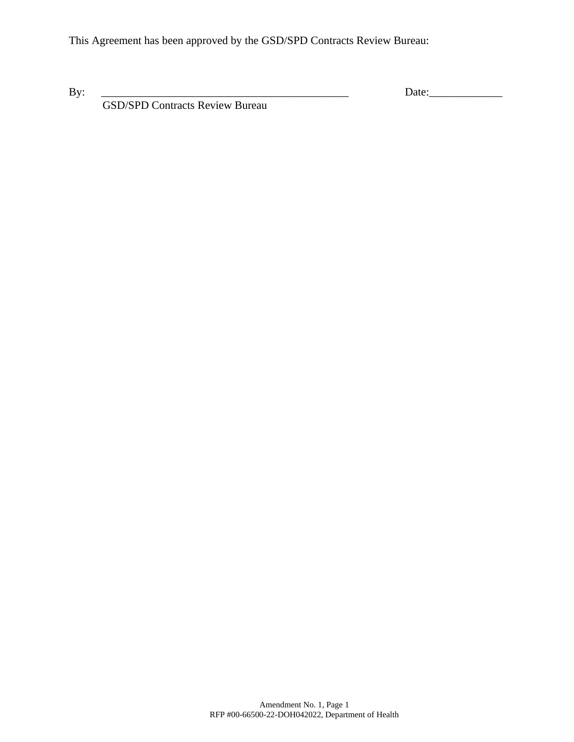This Agreement has been approved by the GSD/SPD Contracts Review Bureau:

By: \_\_\_\_\_\_\_\_\_\_\_\_\_\_\_\_\_\_\_\_\_\_\_\_\_\_\_\_\_\_\_\_\_\_\_\_\_\_\_\_\_\_\_\_ Date:\_\_\_\_\_\_\_\_\_\_\_\_\_

GSD/SPD Contracts Review Bureau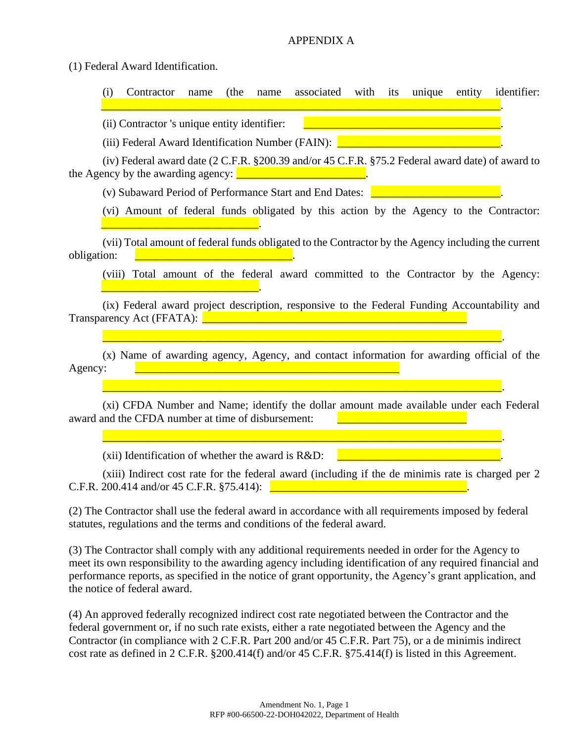#### APPENDIX A

(1) Federal Award Identification.

(i) Contractor name (the name associated with its unique entity identifier: \_\_\_\_\_\_\_\_\_\_\_\_\_\_\_\_\_\_\_\_\_\_\_\_\_\_\_\_\_\_\_\_\_\_\_\_\_\_\_\_\_\_\_\_\_\_\_\_\_\_\_\_\_\_\_\_\_\_\_\_\_\_\_\_\_\_\_\_\_\_\_. (ii) Contractor 's unique entity identifier: (iii) Federal Award Identification Number (FAIN): **Letter Access 2014** (iv) Federal award date (2 C.F.R. §200.39 and/or 45 C.F.R. §75.2 Federal award date) of award to the Agency by the awarding agency:  $\sqrt{\frac{1}{2} \cdot \frac{1}{2} \cdot \frac{1}{2} \cdot \frac{1}{2} \cdot \frac{1}{2} \cdot \frac{1}{2} \cdot \frac{1}{2} \cdot \frac{1}{2} \cdot \frac{1}{2} \cdot \frac{1}{2} \cdot \frac{1}{2} \cdot \frac{1}{2} \cdot \frac{1}{2} \cdot \frac{1}{2} \cdot \frac{1}{2} \cdot \frac{1}{2} \cdot \frac{1}{2} \cdot \frac{1}{2} \cdot \frac{1}{2} \cdot \frac{1}{2} \cdot \frac{$ (v) Subaward Period of Performance Start and End Dates: \_\_\_\_\_\_\_\_\_\_\_\_\_\_\_\_\_\_\_\_\_\_\_. (vi) Amount of federal funds obligated by this action by the Agency to the Contractor:

(vii) Total amount of federal funds obligated to the Contractor by the Agency including the current obligation:

(viii) Total amount of the federal award committed to the Contractor by the Agency:

(ix) Federal award project description, responsive to the Federal Funding Accountability and Transparency Act (FFATA): \_\_\_\_\_\_\_\_\_\_\_\_\_\_\_\_\_\_\_\_\_\_\_\_\_\_\_\_\_\_\_\_\_\_\_\_\_\_\_\_\_\_\_\_\_\_\_

\_\_\_\_\_\_\_\_\_\_\_\_\_\_\_\_\_\_\_\_\_\_\_\_\_\_\_\_\_\_\_\_\_\_\_\_\_\_\_\_\_\_\_\_\_\_\_\_\_\_\_\_\_\_\_\_\_\_\_\_\_\_\_\_\_\_\_\_\_\_\_.

(x) Name of awarding agency, Agency, and contact information for awarding official of the Agency:

(xi) CFDA Number and Name; identify the dollar amount made available under each Federal award and the CFDA number at time of disbursement:

\_\_\_\_\_\_\_\_\_\_\_\_\_\_\_\_\_\_\_\_\_\_\_\_\_\_\_\_\_\_\_\_\_\_\_\_\_\_\_\_\_\_\_\_\_\_\_\_\_\_\_\_\_\_\_\_\_\_\_\_\_\_\_\_\_\_\_\_\_\_\_.

\_\_\_\_\_\_\_\_\_\_\_\_\_\_\_\_\_\_\_\_\_\_\_\_\_\_\_\_\_\_\_\_\_\_\_\_\_\_\_\_\_\_\_\_\_\_\_\_\_\_\_\_\_\_\_\_\_\_\_\_\_\_\_\_\_\_\_\_\_\_\_.

 $(xii)$  Identification of whether the award is  $R&D$ :

\_\_\_\_\_\_\_\_\_\_\_\_\_\_\_\_\_\_\_\_\_\_\_\_\_\_\_\_.

(xiii) Indirect cost rate for the federal award (including if the de minimis rate is charged per 2  $C.F.R. 200.414$  and/or 45  $C.F.R.$  §75.414):

(2) The Contractor shall use the federal award in accordance with all requirements imposed by federal statutes, regulations and the terms and conditions of the federal award.

(3) The Contractor shall comply with any additional requirements needed in order for the Agency to meet its own responsibility to the awarding agency including identification of any required financial and performance reports, as specified in the notice of grant opportunity, the Agency's grant application, and the notice of federal award.

(4) An approved federally recognized indirect cost rate negotiated between the Contractor and the federal government or, if no such rate exists, either a rate negotiated between the Agency and the Contractor (in compliance with 2 C.F.R. Part 200 and/or 45 C.F.R. Part 75), or a de minimis indirect cost rate as defined in 2 C.F.R. §200.414(f) and/or 45 C.F.R. §75.414(f) is listed in this Agreement.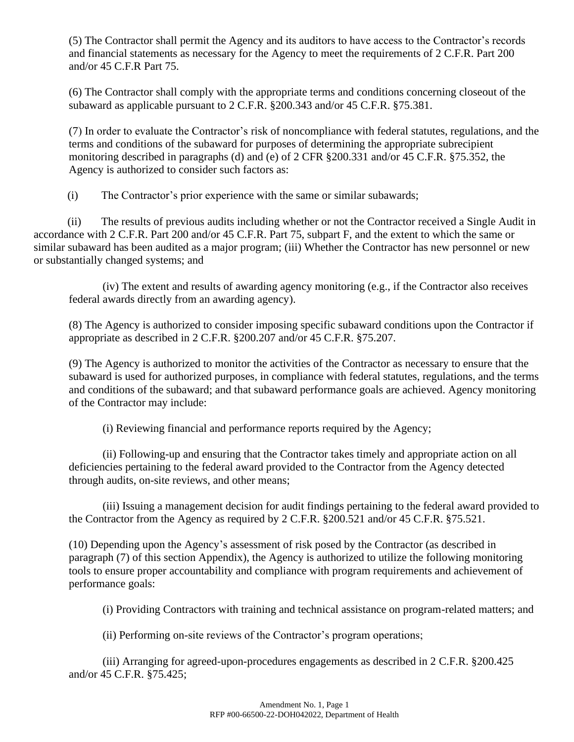(5) The Contractor shall permit the Agency and its auditors to have access to the Contractor's records and financial statements as necessary for the Agency to meet the requirements of 2 C.F.R. Part 200 and/or 45 C.F.R Part 75.

(6) The Contractor shall comply with the appropriate terms and conditions concerning closeout of the subaward as applicable pursuant to 2 C.F.R. §200.343 and/or 45 C.F.R. §75.381.

(7) In order to evaluate the Contractor's risk of noncompliance with federal statutes, regulations, and the terms and conditions of the subaward for purposes of determining the appropriate subrecipient monitoring described in paragraphs (d) and (e) of 2 CFR §200.331 and/or 45 C.F.R. §75.352, the Agency is authorized to consider such factors as:

(i) The Contractor's prior experience with the same or similar subawards;

(ii) The results of previous audits including whether or not the Contractor received a Single Audit in accordance with 2 C.F.R. Part 200 and/or 45 C.F.R. Part 75, subpart F, and the extent to which the same or similar subaward has been audited as a major program; (iii) Whether the Contractor has new personnel or new or substantially changed systems; and

(iv) The extent and results of awarding agency monitoring (e.g., if the Contractor also receives federal awards directly from an awarding agency).

(8) The Agency is authorized to consider imposing specific subaward conditions upon the Contractor if appropriate as described in 2 C.F.R. §200.207 and/or 45 C.F.R. §75.207.

(9) The Agency is authorized to monitor the activities of the Contractor as necessary to ensure that the subaward is used for authorized purposes, in compliance with federal statutes, regulations, and the terms and conditions of the subaward; and that subaward performance goals are achieved. Agency monitoring of the Contractor may include:

(i) Reviewing financial and performance reports required by the Agency;

(ii) Following-up and ensuring that the Contractor takes timely and appropriate action on all deficiencies pertaining to the federal award provided to the Contractor from the Agency detected through audits, on-site reviews, and other means;

(iii) Issuing a management decision for audit findings pertaining to the federal award provided to the Contractor from the Agency as required by 2 C.F.R. §200.521 and/or 45 C.F.R. §75.521.

(10) Depending upon the Agency's assessment of risk posed by the Contractor (as described in paragraph (7) of this section Appendix), the Agency is authorized to utilize the following monitoring tools to ensure proper accountability and compliance with program requirements and achievement of performance goals:

(i) Providing Contractors with training and technical assistance on program-related matters; and

(ii) Performing on-site reviews of the Contractor's program operations;

(iii) Arranging for agreed-upon-procedures engagements as described in 2 C.F.R. §200.425 and/or 45 C.F.R. §75.425;